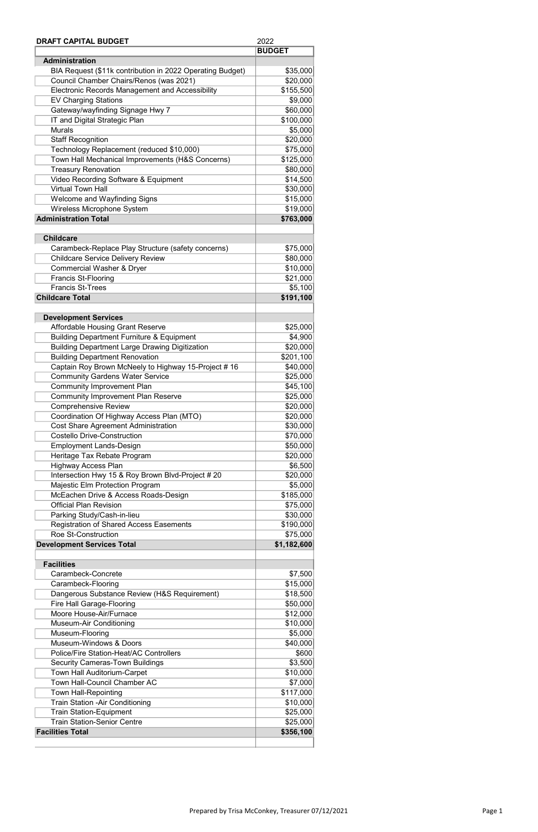| <b>DRAFT CAPITAL BUDGET</b>                               | 2022          |
|-----------------------------------------------------------|---------------|
|                                                           | <b>BUDGET</b> |
| <b>Administration</b>                                     |               |
| BIA Request (\$11k contribution in 2022 Operating Budget) | \$35,000      |
| Council Chamber Chairs/Renos (was 2021)                   | \$20,000      |
| <b>Electronic Records Management and Accessibility</b>    | \$155,500     |
| <b>EV Charging Stations</b>                               | \$9,000       |
| Gateway/wayfinding Signage Hwy 7                          | \$60,000      |
| IT and Digital Strategic Plan                             | \$100,000     |
| <b>Murals</b>                                             | \$5,000       |
| <b>Staff Recognition</b>                                  | \$20,000      |
| Technology Replacement (reduced \$10,000)                 | \$75,000      |
| Town Hall Mechanical Improvements (H&S Concerns)          | \$125,000     |
| <b>Treasury Renovation</b>                                | \$80,000      |
| Video Recording Software & Equipment                      | \$14,500      |
| <b>Virtual Town Hall</b>                                  | \$30,000      |
|                                                           |               |
| Welcome and Wayfinding Signs                              | \$15,000      |
| Wireless Microphone System                                | \$19,000      |
| <b>Administration Total</b>                               | \$763,000     |
|                                                           |               |
| <b>Childcare</b>                                          |               |
| Carambeck-Replace Play Structure (safety concerns)        | \$75,000      |
| <b>Childcare Service Delivery Review</b>                  | \$80,000      |
| <b>Commercial Washer &amp; Dryer</b>                      | \$10,000      |
| <b>Francis St-Flooring</b>                                | \$21,000      |
| <b>Francis St-Trees</b>                                   | \$5,100       |
| <b>Childcare Total</b>                                    | \$191,100     |
|                                                           |               |
| <b>Development Services</b>                               |               |
| <b>Affordable Housing Grant Reserve</b>                   | \$25,000      |
| <b>Building Department Furniture &amp; Equipment</b>      | \$4,900       |
| <b>Building Department Large Drawing Digitization</b>     | \$20,000      |
| <b>Building Department Renovation</b>                     | \$201,100     |
| Captain Roy Brown McNeely to Highway 15-Project #16       | \$40,000      |
| <b>Community Gardens Water Service</b>                    | \$25,000      |
| <b>Community Improvement Plan</b>                         | \$45,100      |
| <b>Community Improvement Plan Reserve</b>                 | \$25,000      |
| <b>Comprehensive Review</b>                               | \$20,000      |
| Coordination Of Highway Access Plan (MTO)                 | \$20,000      |
| <b>Cost Share Agreement Administration</b>                | \$30,000      |
| <b>Costello Drive-Construction</b>                        | \$70,000      |
| <b>Employment Lands-Design</b>                            | \$50,000      |
| Heritage Tax Rebate Program                               | \$20,000      |
| <b>Highway Access Plan</b>                                | \$6,500       |
|                                                           |               |
| Intersection Hwy 15 & Roy Brown Blvd-Project # 20         | \$20,000      |
| Majestic Elm Protection Program                           | \$5,000       |
| McEachen Drive & Access Roads-Design                      | \$185,000     |
| <b>Official Plan Revision</b>                             | \$75,000      |
| Parking Study/Cash-in-lieu                                | \$30,000      |
| <b>Registration of Shared Access Easements</b>            | \$190,000     |
| <b>Roe St-Construction</b>                                | \$75,000      |
| <b>Development Services Total</b>                         | \$1,182,600   |
| <b>Facilities</b>                                         |               |
| Carambeck-Concrete                                        |               |
|                                                           | \$7,500       |
| Carambeck-Flooring                                        | \$15,000      |
| Dangerous Substance Review (H&S Requirement)              | \$18,500      |
| <b>Fire Hall Garage-Flooring</b>                          | \$50,000      |

| Moore House-Air/Furnace                 | \$12,000  |
|-----------------------------------------|-----------|
| Museum-Air Conditioning                 | \$10,000  |
| Museum-Flooring                         | \$5,000   |
| Museum-Windows & Doors                  | \$40,000  |
| Police/Fire Station-Heat/AC Controllers | \$600     |
| <b>Security Cameras-Town Buildings</b>  | \$3,500   |
| <b>Town Hall Auditorium-Carpet</b>      | \$10,000  |
| <b>Town Hall-Council Chamber AC</b>     | \$7,000   |
| <b>Town Hall-Repointing</b>             | \$117,000 |
| Train Station - Air Conditioning        | \$10,000  |
| <b>Train Station-Equipment</b>          | \$25,000  |
| <b>Train Station-Senior Centre</b>      | \$25,000  |
| <b>Facilities Total</b>                 | \$356,100 |
|                                         |           |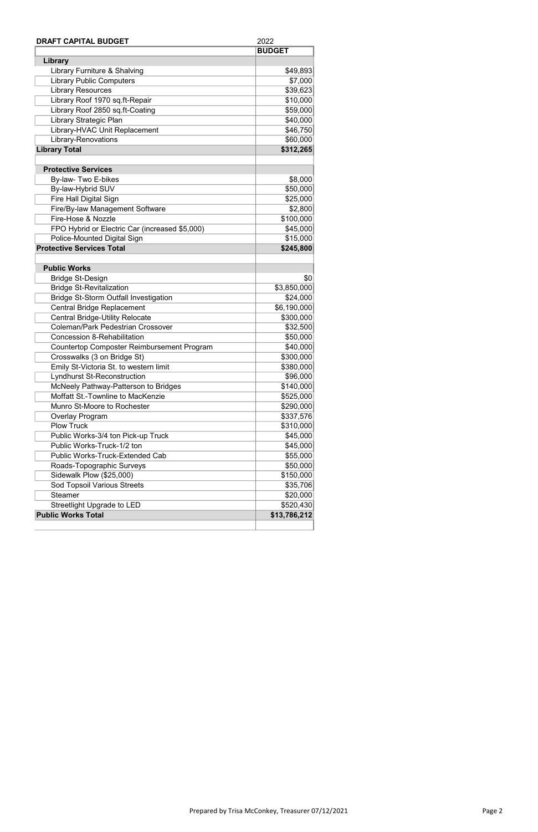| <b>DRAFT CAPITAL BUDGET</b>                       | 2022          |
|---------------------------------------------------|---------------|
|                                                   | <b>BUDGET</b> |
| Library                                           |               |
| Library Furniture & Shalving                      | \$49,893      |
| <b>Library Public Computers</b>                   | \$7,000       |
| <b>Library Resources</b>                          | \$39,623      |
| Library Roof 1970 sq.ft-Repair                    | \$10,000      |
| Library Roof 2850 sq.ft-Coating                   | \$59,000      |
| Library Strategic Plan                            | \$40,000      |
| Library-HVAC Unit Replacement                     | \$46,750      |
| <b>Library-Renovations</b>                        | \$60,000      |
| <b>Library Total</b>                              | \$312,265     |
|                                                   |               |
| <b>Protective Services</b>                        |               |
| By-law- Two E-bikes                               | \$8,000       |
| By-law-Hybrid SUV                                 | \$50,000      |
| Fire Hall Digital Sign                            | \$25,000      |
| Fire/By-law Management Software                   | \$2,800       |
| Fire-Hose & Nozzle                                | \$100,000     |
| FPO Hybrid or Electric Car (increased \$5,000)    | \$45,000      |
| Police-Mounted Digital Sign                       | \$15,000      |
| <b>Protective Services Total</b>                  | \$245,800     |
|                                                   |               |
| <b>Public Works</b>                               |               |
| <b>Bridge St-Design</b>                           | 30            |
| <b>Bridge St-Revitalization</b>                   | \$3,850,000   |
| <b>Bridge St-Storm Outfall Investigation</b>      | \$24,000      |
| <b>Central Bridge Replacement</b>                 | \$6,190,000   |
| <b>Central Bridge-Utility Relocate</b>            | \$300,000     |
| <b>Coleman/Park Pedestrian Crossover</b>          | \$32,500      |
| <b>Concession 8-Rehabilitation</b>                | \$50,000      |
| <b>Countertop Composter Reimbursement Program</b> | \$40,000      |
| Crosswalks (3 on Bridge St)                       | \$300,000     |
| Emily St-Victoria St. to western limit            | \$380,000     |
| <b>Lyndhurst St-Reconstruction</b>                | \$96,000      |
| McNeely Pathway-Patterson to Bridges              | \$140,000     |
| Moffatt St.-Townline to MacKenzie                 | \$525,000     |
| Munro St-Moore to Rochester                       | \$290,000     |
| Overlay Program                                   | \$337,576     |
| <b>Plow Truck</b>                                 | \$310,000     |
| Public Works-3/4 ton Pick-up Truck                | \$45,000      |
| Public Works-Truck-1/2 ton                        | \$45,000      |
| <b>Public Works-Truck-Extended Cab</b>            | \$55,000      |
| Roads-Topographic Surveys                         | \$50,000      |
| Sidewalk Plow (\$25,000)                          | \$150,000     |
| Sod Topsoil Various Streets                       | \$35,706      |
| <b>Steamer</b>                                    | \$20,000      |
| <b>Streetlight Upgrade to LED</b>                 | \$520,430     |
| <b>Public Works Total</b>                         | \$13,786,212  |
|                                                   |               |

Prepared by Trisa McConkey, Treasurer 07/12/2021 **Page 2** Page 2